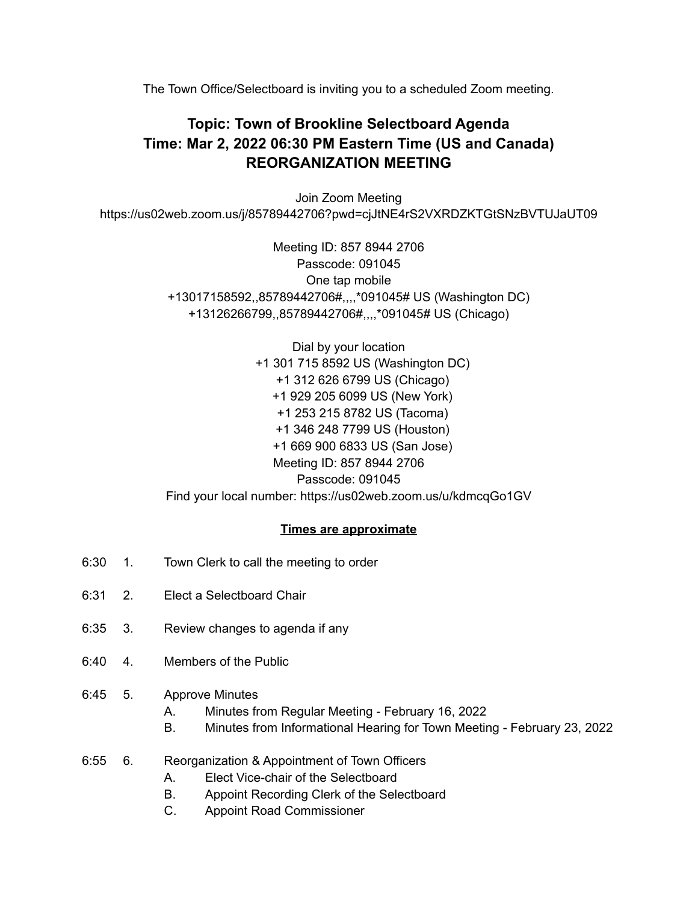The Town Office/Selectboard is inviting you to a scheduled Zoom meeting.

## **Topic: Town of Brookline Selectboard Agenda Time: Mar 2, 2022 06:30 PM Eastern Time (US and Canada) REORGANIZATION MEETING**

Join Zoom Meeting https://us02web.zoom.us/j/85789442706?pwd=cjJtNE4rS2VXRDZKTGtSNzBVTUJaUT09

> Meeting ID: 857 8944 2706 Passcode: 091045 One tap mobile +13017158592,,85789442706#,,,,\*091045# US (Washington DC) +13126266799,,85789442706#,,,,\*091045# US (Chicago)

> Dial by your location +1 301 715 8592 US (Washington DC) +1 312 626 6799 US (Chicago) +1 929 205 6099 US (New York) +1 253 215 8782 US (Tacoma) +1 346 248 7799 US (Houston) +1 669 900 6833 US (San Jose) Meeting ID: 857 8944 2706 Passcode: 091045 Find your local number: https://us02web.zoom.us/u/kdmcqGo1GV

## **Times are approximate**

- 6:30 1. Town Clerk to call the meeting to order
- 6:31 2. Elect a Selectboard Chair
- 6:35 3. Review changes to agenda if any
- 6:40 4. Members of the Public
- 6:45 5. Approve Minutes
	- A. Minutes from Regular Meeting February 16, 2022
	- B. Minutes from Informational Hearing for Town Meeting February 23, 2022
- 6:55 6. Reorganization & Appointment of Town Officers
	- A. Elect Vice-chair of the Selectboard
	- B. Appoint Recording Clerk of the Selectboard
	- C. Appoint Road Commissioner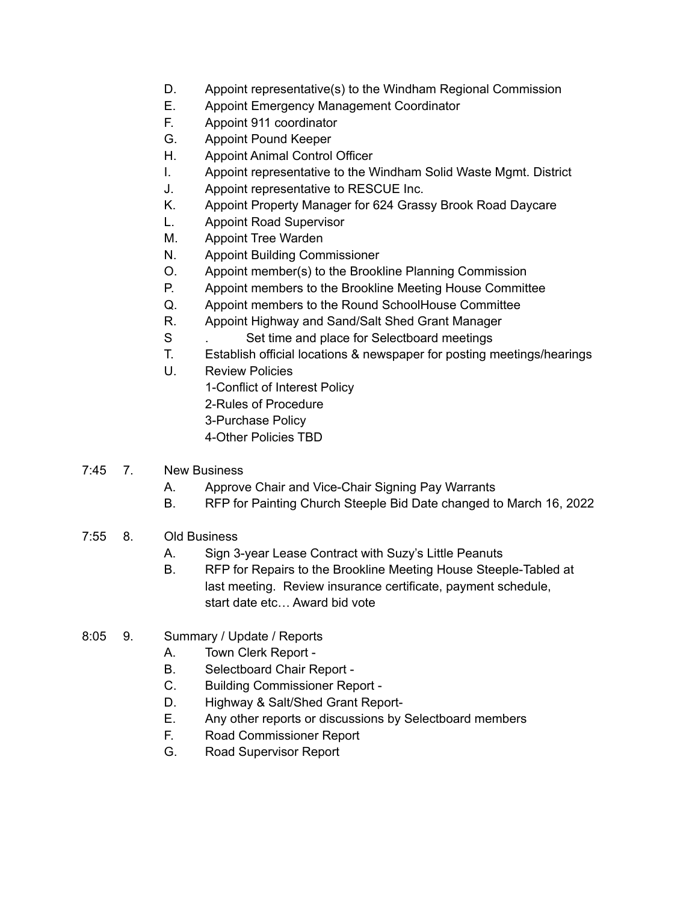- D. Appoint representative(s) to the Windham Regional Commission
- E. Appoint Emergency Management Coordinator
- F. Appoint 911 coordinator
- G. Appoint Pound Keeper
- H. Appoint Animal Control Officer
- I. Appoint representative to the Windham Solid Waste Mgmt. District
- J. Appoint representative to RESCUE Inc.
- K. Appoint Property Manager for 624 Grassy Brook Road Daycare
- L. Appoint Road Supervisor
- M. Appoint Tree Warden
- N. Appoint Building Commissioner
- O. Appoint member(s) to the Brookline Planning Commission
- P. Appoint members to the Brookline Meeting House Committee
- Q. Appoint members to the Round SchoolHouse Committee
- R. Appoint Highway and Sand/Salt Shed Grant Manager
- S . Set time and place for Selectboard meetings
- T. Establish official locations & newspaper for posting meetings/hearings
- U. Review Policies
	- 1-Conflict of Interest Policy
	- 2-Rules of Procedure
	- 3-Purchase Policy
	- 4-Other Policies TBD
- 7:45 7. New Business
	- A. Approve Chair and Vice-Chair Signing Pay Warrants
	- B. RFP for Painting Church Steeple Bid Date changed to March 16, 2022
- 7:55 8. Old Business
	- A. Sign 3-year Lease Contract with Suzy's Little Peanuts
	- B. RFP for Repairs to the Brookline Meeting House Steeple-Tabled at last meeting. Review insurance certificate, payment schedule, start date etc… Award bid vote
- 8:05 9. Summary / Update / Reports
	- A. Town Clerk Report -
	- B. Selectboard Chair Report -
	- C. Building Commissioner Report -
	- D. Highway & Salt/Shed Grant Report-
	- E. Any other reports or discussions by Selectboard members
	- F. Road Commissioner Report
	- G. Road Supervisor Report